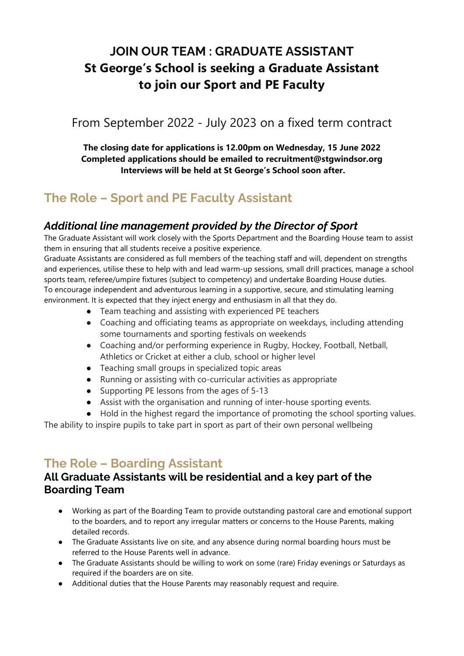# **JOIN OUR TEAM : GRADUATE ASSISTANT St George's School is seeking a Graduate Assistant to join our Sport and PE Faculty**

## From September 2022 - July 2023 on a fixed term contract

**The closing date for applications is 12.00pm on Wednesday, 15 June 2022 Completed applications should be emailed to recruitment@stgwindsor.org Interviews will be held at St George's School soon after.** 

## **The Role – Sport and PE Faculty Assistant**

#### *Additional line management provided by the Director of Sport*

The Graduate Assistant will work closely with the Sports Department and the Boarding House team to assist them in ensuring that all students receive a positive experience.

Graduate Assistants are considered as full members of the teaching staff and will, dependent on strengths and experiences, utilise these to help with and lead warm-up sessions, small drill practices, manage a school sports team, referee/umpire fixtures (subject to competency) and undertake Boarding House duties. To encourage independent and adventurous learning in a supportive, secure, and stimulating learning environment. It is expected that they inject energy and enthusiasm in all that they do.

- Team teaching and assisting with experienced PE teachers
- Coaching and officiating teams as appropriate on weekdays, including attending some tournaments and sporting festivals on weekends
- Coaching and/or performing experience in Rugby, Hockey, Football, Netball, Athletics or Cricket at either a club, school or higher level
- Teaching small groups in specialized topic areas
- Running or assisting with co-curricular activities as appropriate
- Supporting PE lessons from the ages of 5-13
- Assist with the organisation and running of inter-house sporting events.
- Hold in the highest regard the importance of promoting the school sporting values.

The ability to inspire pupils to take part in sport as part of their own personal wellbeing

## **The Role – Boarding Assistant**

#### **All Graduate Assistants will be residential and a key part of the Boarding Team**

- Working as part of the Boarding Team to provide outstanding pastoral care and emotional support to the boarders, and to report any irregular matters or concerns to the House Parents, making detailed records.
- The Graduate Assistants live on site, and any absence during normal boarding hours must be referred to the House Parents well in advance.
- The Graduate Assistants should be willing to work on some (rare) Friday evenings or Saturdays as required if the boarders are on site.
- Additional duties that the House Parents may reasonably request and require.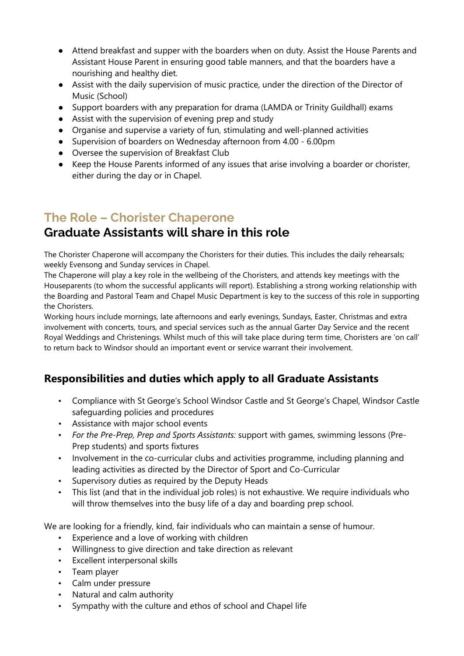- Attend breakfast and supper with the boarders when on duty. Assist the House Parents and Assistant House Parent in ensuring good table manners, and that the boarders have a nourishing and healthy diet.
- Assist with the daily supervision of music practice, under the direction of the Director of Music (School)
- Support boarders with any preparation for drama (LAMDA or Trinity Guildhall) exams
- Assist with the supervision of evening prep and study
- Organise and supervise a variety of fun, stimulating and well-planned activities
- Supervision of boarders on Wednesday afternoon from 4.00 6.00pm
- Oversee the supervision of Breakfast Club
- Keep the House Parents informed of any issues that arise involving a boarder or chorister, either during the day or in Chapel.

### **The Role – Chorister Chaperone**

### **Graduate Assistants will share in this role**

The Chorister Chaperone will accompany the Choristers for their duties. This includes the daily rehearsals; weekly Evensong and Sunday services in Chapel.

The Chaperone will play a key role in the wellbeing of the Choristers, and attends key meetings with the Houseparents (to whom the successful applicants will report). Establishing a strong working relationship with the Boarding and Pastoral Team and Chapel Music Department is key to the success of this role in supporting the Choristers.

Working hours include mornings, late afternoons and early evenings, Sundays, Easter, Christmas and extra involvement with concerts, tours, and special services such as the annual Garter Day Service and the recent Royal Weddings and Christenings. Whilst much of this will take place during term time, Choristers are 'on call' to return back to Windsor should an important event or service warrant their involvement.

#### **Responsibilities and duties which apply to all Graduate Assistants**

- Compliance with St George's School Windsor Castle and St George's Chapel, Windsor Castle safeguarding policies and procedures
- Assistance with major school events
- *For the Pre-Prep, Prep and Sports Assistants:* support with games, swimming lessons (Pre-Prep students) and sports fixtures
- Involvement in the co-curricular clubs and activities programme, including planning and leading activities as directed by the Director of Sport and Co-Curricular
- Supervisory duties as required by the Deputy Heads
- This list (and that in the individual job roles) is not exhaustive. We require individuals who will throw themselves into the busy life of a day and boarding prep school.

We are looking for a friendly, kind, fair individuals who can maintain a sense of humour.

- Experience and a love of working with children
- Willingness to give direction and take direction as relevant
- Excellent interpersonal skills
- Team player
- Calm under pressure
- Natural and calm authority
- Sympathy with the culture and ethos of school and Chapel life